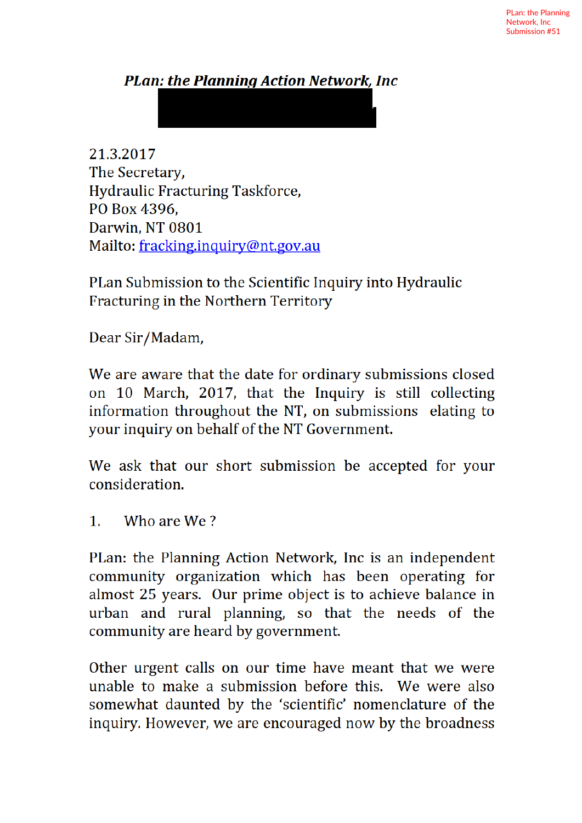## **PLan: the Planning Action Network. Inc.**

21.3.2017 The Secretary, **Hydraulic Fracturing Taskforce,** PO Box 4396. Darwin. NT 0801 Mailto: fracking.inquiry@nt.gov.au

PLan Submission to the Scientific Inquiry into Hydraulic Fracturing in the Northern Territory

Dear Sir/Madam,

We are aware that the date for ordinary submissions closed on 10 March, 2017, that the Inquiry is still collecting information throughout the NT, on submissions elating to your inquiry on behalf of the NT Government.

We ask that our short submission be accepted for your consideration.

 $\mathbf{1}$ . Who are We?

PLan: the Planning Action Network, Inc is an independent community organization which has been operating for almost 25 years. Our prime object is to achieve balance in urban and rural planning, so that the needs of the community are heard by government.

Other urgent calls on our time have meant that we were unable to make a submission before this. We were also somewhat daunted by the 'scientific' nomenclature of the inquiry. However, we are encouraged now by the broadness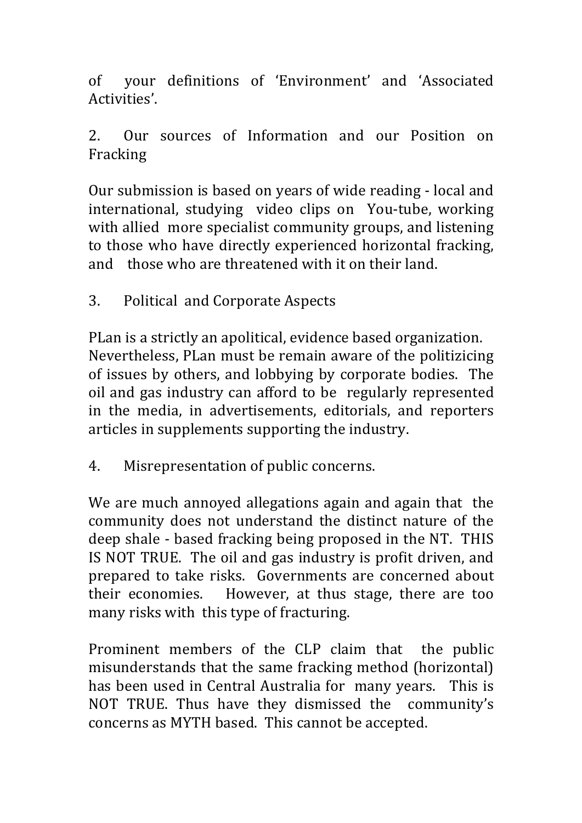of your definitions of 'Environment' and 'Associated Activities'.

2. Our sources of Information and our Position on Fracking

Our submission is based on years of wide reading - local and international, studying video clips on You-tube, working with allied more specialist community groups, and listening to those who have directly experienced horizontal fracking, and those who are threatened with it on their land.

3. Political and Corporate Aspects

PLan is a strictly an apolitical, evidence based organization. Nevertheless, PLan must be remain aware of the politizicing of issues by others, and lobbying by corporate bodies. The oil and gas industry can afford to be regularly represented in the media, in advertisements, editorials, and reporters articles in supplements supporting the industry.

4. Misrepresentation of public concerns.

We are much annoyed allegations again and again that the community does not understand the distinct nature of the deep shale - based fracking being proposed in the NT. THIS IS NOT TRUE. The oil and gas industry is profit driven, and prepared to take risks. Governments are concerned about their economies. However, at thus stage, there are too many risks with this type of fracturing.

Prominent members of the CLP claim that the public misunderstands that the same fracking method (horizontal) has been used in Central Australia for many years. This is NOT TRUE. Thus have they dismissed the community's concerns as MYTH based. This cannot be accepted.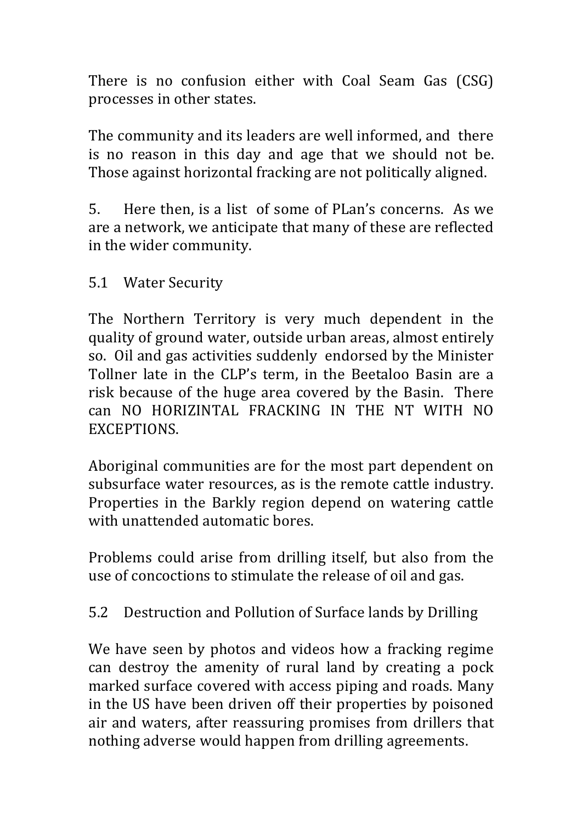There is no confusion either with Coal Seam Gas (CSG) processes in other states.

The community and its leaders are well informed, and there is no reason in this day and age that we should not be. Those against horizontal fracking are not politically aligned.

5. Here then, is a list of some of PLan's concerns. As we are a network, we anticipate that many of these are reflected in the wider community.

5.1 Water Security

The Northern Territory is very much dependent in the quality of ground water, outside urban areas, almost entirely so. Oil and gas activities suddenly endorsed by the Minister Tollner late in the CLP's term, in the Beetaloo Basin are a risk because of the huge area covered by the Basin. There can NO HORIZINTAL FRACKING IN THE NT WITH NO EXCEPTIONS.

Aboriginal communities are for the most part dependent on subsurface water resources, as is the remote cattle industry. Properties in the Barkly region depend on watering cattle with unattended automatic bores.

Problems could arise from drilling itself, but also from the use of concoctions to stimulate the release of oil and gas.

5.2 Destruction and Pollution of Surface lands by Drilling

We have seen by photos and videos how a fracking regime can destroy the amenity of rural land by creating a pock marked surface covered with access piping and roads. Many in the US have been driven off their properties by poisoned air and waters, after reassuring promises from drillers that nothing adverse would happen from drilling agreements.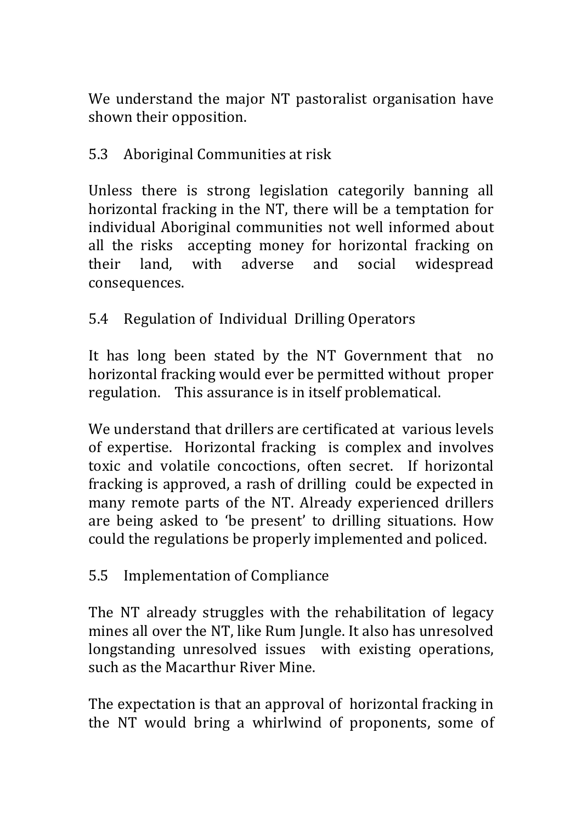We understand the major NT pastoralist organisation have shown their opposition.

## 5.3 Aboriginal Communities at risk

Unless there is strong legislation categorily banning all horizontal fracking in the NT, there will be a temptation for individual Aboriginal communities not well informed about all the risks accepting money for horizontal fracking on their land, with adverse and social widespread consequences.

## 5.4 Regulation of Individual Drilling Operators

It has long been stated by the NT Government that no horizontal fracking would ever be permitted without proper regulation. This assurance is in itself problematical.

We understand that drillers are certificated at various levels of expertise. Horizontal fracking is complex and involves toxic and volatile concoctions, often secret. If horizontal fracking is approved, a rash of drilling could be expected in many remote parts of the NT. Already experienced drillers are being asked to 'be present' to drilling situations. How could the regulations be properly implemented and policed.

## 5.5 Implementation of Compliance

The NT already struggles with the rehabilitation of legacy mines all over the NT, like Rum Jungle. It also has unresolved longstanding unresolved issues with existing operations, such as the Macarthur River Mine.

The expectation is that an approval of horizontal fracking in the NT would bring a whirlwind of proponents, some of